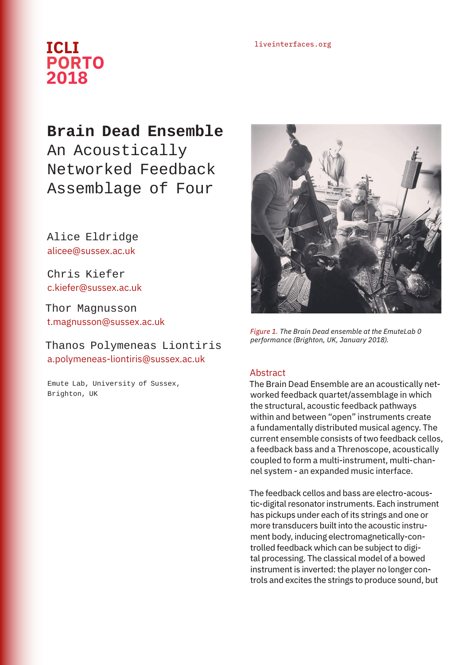## liveinterfaces.org **ICLI PORTO 2018**

**Brain Dead Ensemble** An Acoustically Networked Feedback Assemblage of Four

Alice Eldridge alicee@sussex.ac.uk

Chris Kiefer c.kiefer@sussex.ac.uk

Thor Magnusson t.magnusson@sussex.ac.uk

## Thanos Polymeneas Liontiris a.polymeneas-liontiris@sussex.ac.uk

Emute Lab, University of Sussex, Brighton, UK



*Figure 1. The Brain Dead ensemble at the EmuteLab 0 performance (Brighton, UK, January 2018).*

## Abstract

The Brain Dead Ensemble are an acoustically networked feedback quartet/assemblage in which the structural, acoustic feedback pathways within and between "open" instruments create a fundamentally distributed musical agency. The current ensemble consists of two feedback cellos, a feedback bass and a Threnoscope, acoustically coupled to form a multi-instrument, multi-channel system - an expanded music interface.

The feedback cellos and bass are electro-acoustic-digital resonator instruments. Each instrument has pickups under each of its strings and one or more transducers built into the acoustic instrument body, inducing electromagnetically-controlled feedback which can be subject to digital processing. The classical model of a bowed instrument is inverted: the player no longer controls and excites the strings to produce sound, but